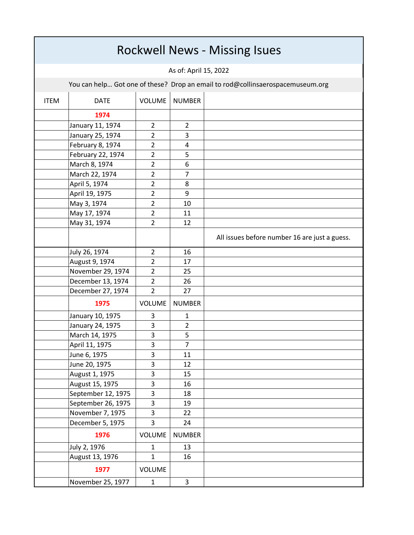| <b>Rockwell News - Missing Isues</b>                                           |                    |                |                |                                               |  |  |  |  |
|--------------------------------------------------------------------------------|--------------------|----------------|----------------|-----------------------------------------------|--|--|--|--|
| As of: April 15, 2022                                                          |                    |                |                |                                               |  |  |  |  |
| You can help Got one of these? Drop an email to rod@collinsaerospacemuseum.org |                    |                |                |                                               |  |  |  |  |
| <b>ITEM</b>                                                                    | <b>DATE</b>        | VOLUME         | <b>NUMBER</b>  |                                               |  |  |  |  |
|                                                                                | 1974               |                |                |                                               |  |  |  |  |
|                                                                                | January 11, 1974   | $\overline{2}$ | $\overline{2}$ |                                               |  |  |  |  |
|                                                                                | January 25, 1974   | $\overline{2}$ | 3              |                                               |  |  |  |  |
|                                                                                | February 8, 1974   | $\overline{2}$ | 4              |                                               |  |  |  |  |
|                                                                                | February 22, 1974  | 2              | 5              |                                               |  |  |  |  |
|                                                                                | March 8, 1974      | $\overline{2}$ | 6              |                                               |  |  |  |  |
|                                                                                | March 22, 1974     | $\overline{2}$ | $\overline{7}$ |                                               |  |  |  |  |
|                                                                                | April 5, 1974      | $\overline{2}$ | 8              |                                               |  |  |  |  |
|                                                                                | April 19, 1975     | $\overline{2}$ | 9              |                                               |  |  |  |  |
|                                                                                | May 3, 1974        | 2              | 10             |                                               |  |  |  |  |
|                                                                                | May 17, 1974       | $\overline{2}$ | 11             |                                               |  |  |  |  |
|                                                                                | May 31, 1974       | $\overline{2}$ | 12             |                                               |  |  |  |  |
|                                                                                |                    |                |                | All issues before number 16 are just a guess. |  |  |  |  |
|                                                                                | July 26, 1974      | 2              | 16             |                                               |  |  |  |  |
|                                                                                | August 9, 1974     | $\overline{2}$ | 17             |                                               |  |  |  |  |
|                                                                                | November 29, 1974  | $\overline{2}$ | 25             |                                               |  |  |  |  |
|                                                                                | December 13, 1974  | $\overline{2}$ | 26             |                                               |  |  |  |  |
|                                                                                | December 27, 1974  | $\overline{2}$ | 27             |                                               |  |  |  |  |
|                                                                                | 1975               | <b>VOLUME</b>  | <b>NUMBER</b>  |                                               |  |  |  |  |
|                                                                                | January 10, 1975   | 3              | $\mathbf{1}$   |                                               |  |  |  |  |
|                                                                                | January 24, 1975   | 3              | $\overline{2}$ |                                               |  |  |  |  |
|                                                                                | March 14, 1975     | 3              | 5              |                                               |  |  |  |  |
|                                                                                | April 11, 1975     | 3              | $\overline{7}$ |                                               |  |  |  |  |
|                                                                                | June 6, 1975       | 3              | 11             |                                               |  |  |  |  |
|                                                                                | June 20, 1975      | 3              | 12             |                                               |  |  |  |  |
|                                                                                | August 1, 1975     | 3              | 15             |                                               |  |  |  |  |
|                                                                                | August 15, 1975    | 3              | 16             |                                               |  |  |  |  |
|                                                                                | September 12, 1975 | 3              | 18             |                                               |  |  |  |  |
|                                                                                | September 26, 1975 | 3              | 19             |                                               |  |  |  |  |
|                                                                                | November 7, 1975   | 3              | 22             |                                               |  |  |  |  |
|                                                                                | December 5, 1975   | 3              | 24             |                                               |  |  |  |  |
|                                                                                | 1976               | <b>VOLUME</b>  | <b>NUMBER</b>  |                                               |  |  |  |  |
|                                                                                | July 2, 1976       | $\mathbf{1}$   | 13             |                                               |  |  |  |  |
|                                                                                | August 13, 1976    | $\mathbf{1}$   | 16             |                                               |  |  |  |  |
|                                                                                | 1977               | <b>VOLUME</b>  |                |                                               |  |  |  |  |
|                                                                                | November 25, 1977  | $\mathbf{1}$   | $\overline{3}$ |                                               |  |  |  |  |